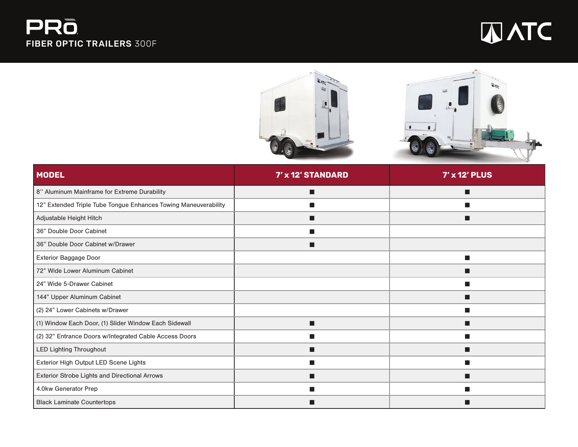## PRO FIBER OPTIC TRAILERS 300F





| <b>MODEL</b>                                                    | 7' x 12' STANDARD | $7'$ x 12' PLUS |
|-----------------------------------------------------------------|-------------------|-----------------|
| 8" Aluminum Mainframe for Extreme Durability                    | п                 | п               |
| 12" Extended Triple Tube Tongue Enhances Towing Maneuverability | $\blacksquare$    | ш               |
| Adjustable Height Hitch                                         | П                 | п               |
| 36" Double Door Cabinet                                         | ▅                 |                 |
| 36" Double Door Cabinet w/Drawer                                | г                 |                 |
| Exterior Baggage Door                                           |                   | <b>COL</b>      |
| 72" Wide Lower Aluminum Cabinet                                 |                   |                 |
| 24" Wide 5-Drawer Cabinet                                       |                   |                 |
| 144" Upper Aluminum Cabinet                                     |                   | ш               |
| (2) 24" Lower Cabinets w/Drawer                                 |                   | ш               |
| (1) Window Each Door, (1) Slider Window Each Sidewall           | п                 | ш               |
| (2) 32" Entrance Doors w/Integrated Cable Access Doors          | ▅                 | ш               |
| <b>LED Lighting Throughout</b>                                  | ■                 | ■               |
| Exterior High Output LED Scene Lights                           | ▅                 | ш               |
| Exterior Strobe Lights and Directional Arrows                   | ■                 | ш               |
| 4.0kw Generator Prep                                            |                   |                 |
| <b>Black Laminate Countertops</b>                               |                   |                 |